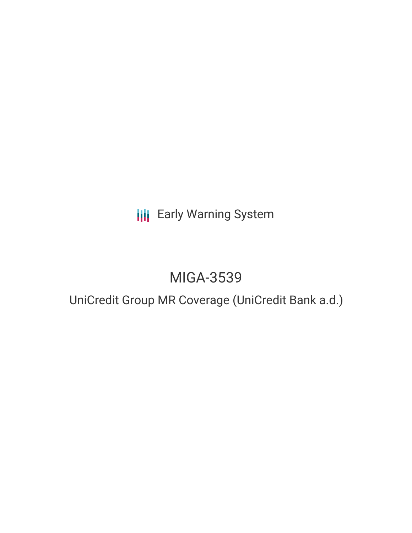**III** Early Warning System

# MIGA-3539

# UniCredit Group MR Coverage (UniCredit Bank a.d.)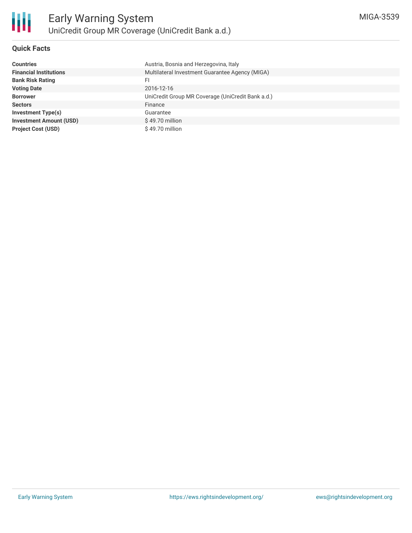## **Quick Facts**

| <b>Countries</b>               | Austria, Bosnia and Herzegovina, Italy            |
|--------------------------------|---------------------------------------------------|
| <b>Financial Institutions</b>  | Multilateral Investment Guarantee Agency (MIGA)   |
| <b>Bank Risk Rating</b>        | FI.                                               |
| <b>Voting Date</b>             | 2016-12-16                                        |
| <b>Borrower</b>                | UniCredit Group MR Coverage (UniCredit Bank a.d.) |
| <b>Sectors</b>                 | Finance                                           |
| <b>Investment Type(s)</b>      | Guarantee                                         |
| <b>Investment Amount (USD)</b> | $$49.70$ million                                  |
| <b>Project Cost (USD)</b>      | $$49.70$ million                                  |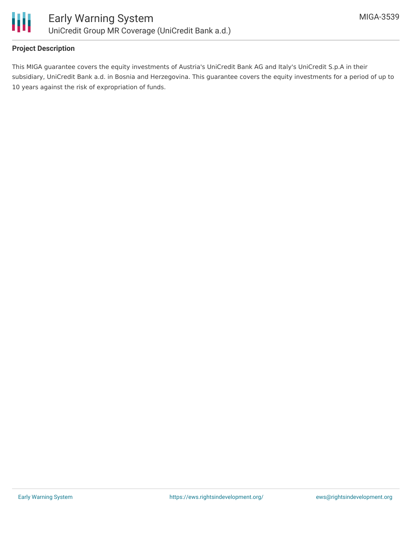

#### **Project Description**

This MIGA guarantee covers the equity investments of Austria's UniCredit Bank AG and Italy's UniCredit S.p.A in their subsidiary, UniCredit Bank a.d. in Bosnia and Herzegovina. This guarantee covers the equity investments for a period of up to 10 years against the risk of expropriation of funds.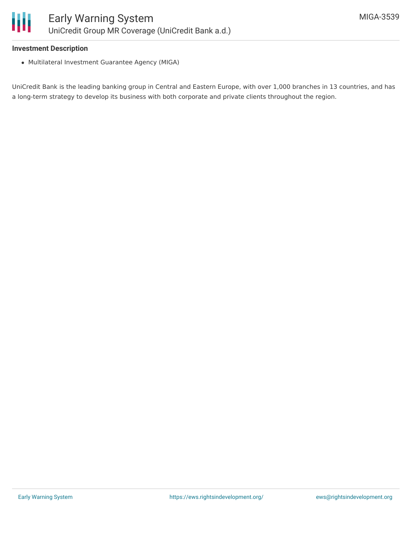

#### **Investment Description**

Multilateral Investment Guarantee Agency (MIGA)

UniCredit Bank is the leading banking group in Central and Eastern Europe, with over 1,000 branches in 13 countries, and has a long-term strategy to develop its business with both corporate and private clients throughout the region.